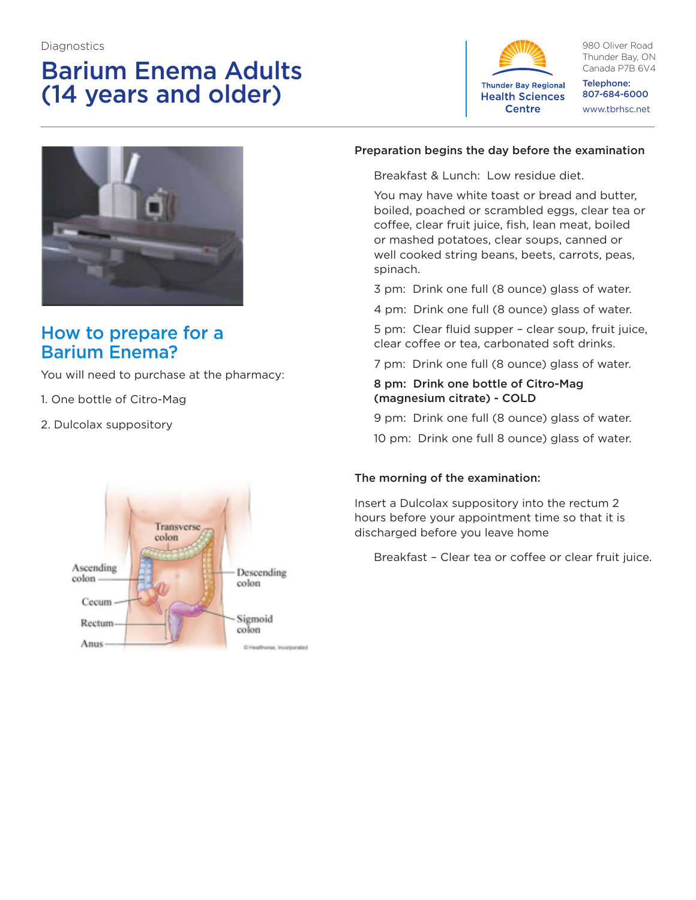# Barium Enema Adults (14 years and older)



980 Oliver Road Thunder Bay, ON Canada P7B 6V4

Telephone: 807-684-6000 www.tbrhsc.net



# How to prepare for a Barium Enema?

You will need to purchase at the pharmacy:

- 1. One bottle of Citro-Mag
- 2. Dulcolax suppository



#### Preparation begins the day before the examination

Breakfast & Lunch: Low residue diet.

You may have white toast or bread and butter, boiled, poached or scrambled eggs, clear tea or coffee, clear fruit juice, fish, lean meat, boiled or mashed potatoes, clear soups, canned or well cooked string beans, beets, carrots, peas, spinach.

3 pm: Drink one full (8 ounce) glass of water.

4 pm: Drink one full (8 ounce) glass of water.

5 pm: Clear fluid supper – clear soup, fruit juice, clear coffee or tea, carbonated soft drinks.

7 pm: Drink one full (8 ounce) glass of water.

#### 8 pm: Drink one bottle of Citro-Mag (magnesium citrate) - COLD

9 pm: Drink one full (8 ounce) glass of water. 10 pm: Drink one full 8 ounce) glass of water.

#### The morning of the examination:

Insert a Dulcolax suppository into the rectum 2 hours before your appointment time so that it is discharged before you leave home

Breakfast – Clear tea or coffee or clear fruit juice.